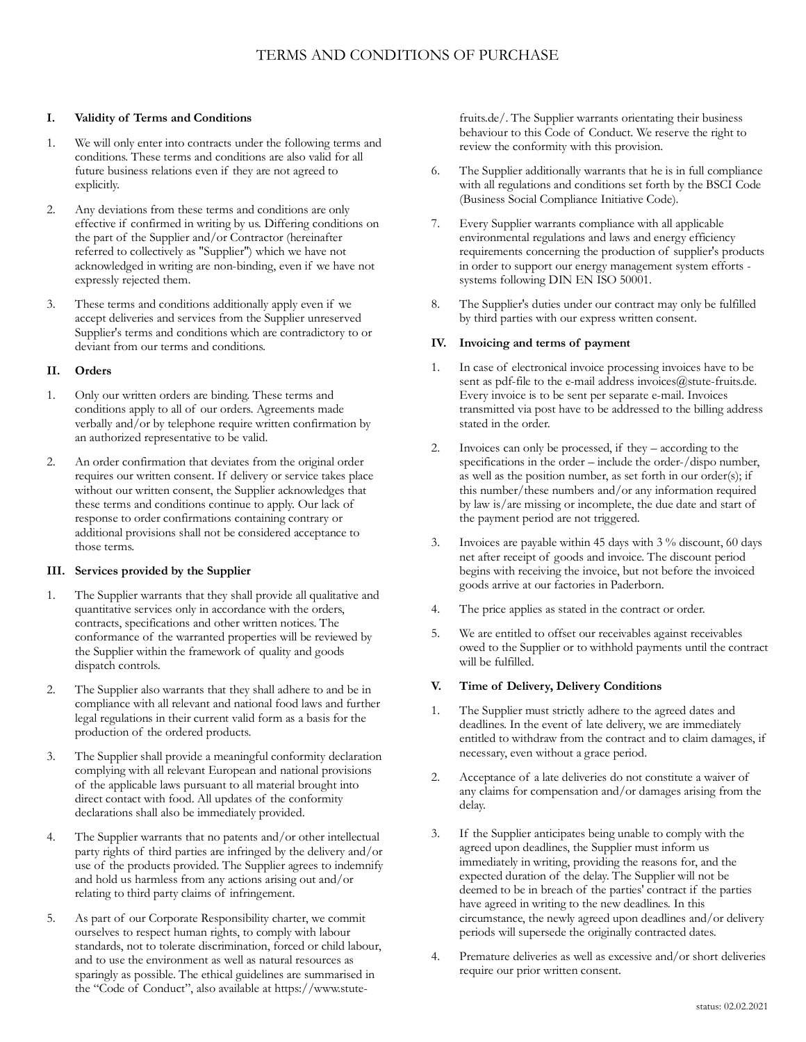### **I. Validity of Terms and Conditions**

- 1. We will only enter into contracts under the following terms and conditions. These terms and conditions are also valid for all future business relations even if they are not agreed to explicitly.
- 2. Any deviations from these terms and conditions are only effective if confirmed in writing by us. Differing conditions on the part of the Supplier and/or Contractor (hereinafter referred to collectively as "Supplier") which we have not acknowledged in writing are non-binding, even if we have not expressly rejected them.
- 3. These terms and conditions additionally apply even if we accept deliveries and services from the Supplier unreserved Supplier's terms and conditions which are contradictory to or deviant from our terms and conditions.

## **II. Orders**

- 1. Only our written orders are binding. These terms and conditions apply to all of our orders. Agreements made verbally and/or by telephone require written confirmation by an authorized representative to be valid.
- An order confirmation that deviates from the original order requires our written consent. If delivery or service takes place without our written consent, the Supplier acknowledges that these terms and conditions continue to apply. Our lack of response to order confirmations containing contrary or additional provisions shall not be considered acceptance to those terms.

# **III. Services provided by the Supplier**

- 1. The Supplier warrants that they shall provide all qualitative and quantitative services only in accordance with the orders, contracts, specifications and other written notices. The conformance of the warranted properties will be reviewed by the Supplier within the framework of quality and goods dispatch controls.
- 2. The Supplier also warrants that they shall adhere to and be in compliance with all relevant and national food laws and further legal regulations in their current valid form as a basis for the production of the ordered products.
- 3. The Supplier shall provide a meaningful conformity declaration complying with all relevant European and national provisions of the applicable laws pursuant to all material brought into direct contact with food. All updates of the conformity declarations shall also be immediately provided.
- 4. The Supplier warrants that no patents and/or other intellectual party rights of third parties are infringed by the delivery and/or use of the products provided. The Supplier agrees to indemnify and hold us harmless from any actions arising out and/or relating to third party claims of infringement.
- 5. As part of our Corporate Responsibility charter, we commit ourselves to respect human rights, to comply with labour standards, not to tolerate discrimination, forced or child labour, and to use the environment as well as natural resources as sparingly as possible. The ethical guidelines are summarised in the "Code of Conduct", also available a[t https://www.stute-](https://www.stute-fruits.de/)

[fruits.de/.](https://www.stute-fruits.de/) The Supplier warrants orientating their business behaviour to this Code of Conduct. We reserve the right to review the conformity with this provision.

- 6. The Supplier additionally warrants that he is in full compliance with all regulations and conditions set forth by the BSCI Code (Business Social Compliance Initiative Code).
- 7. Every Supplier warrants compliance with all applicable environmental regulations and laws and energy efficiency requirements concerning the production of supplier's products in order to support our energy management system efforts systems following DIN EN ISO 50001.
- 8. The Supplier's duties under our contract may only be fulfilled by third parties with our express written consent.

# **IV. Invoicing and terms of payment**

- 1. In case of electronical invoice processing invoices have to be sent as pdf-file to the e-mail address [invoices@stute-fruits.de.](mailto:invoices@stute-fruits.de) Every invoice is to be sent per separate e-mail. Invoices transmitted via post have to be addressed to the billing address stated in the order.
- 2. Invoices can only be processed, if they according to the specifications in the order – include the order-/dispo number, as well as the position number, as set forth in our order(s); if this number/these numbers and/or any information required by law is/are missing or incomplete, the due date and start of the payment period are not triggered.
- 3. Invoices are payable within 45 days with 3 % discount, 60 days net after receipt of goods and invoice. The discount period begins with receiving the invoice, but not before the invoiced goods arrive at our factories in Paderborn.
- 4. The price applies as stated in the contract or order.
- 5. We are entitled to offset our receivables against receivables owed to the Supplier or to withhold payments until the contract will be fulfilled.

# **V. Time of Delivery, Delivery Conditions**

- 1. The Supplier must strictly adhere to the agreed dates and deadlines. In the event of late delivery, we are immediately entitled to withdraw from the contract and to claim damages, if necessary, even without a grace period.
- 2. Acceptance of a late deliveries do not constitute a waiver of any claims for compensation and/or damages arising from the delay.
- 3. If the Supplier anticipates being unable to comply with the agreed upon deadlines, the Supplier must inform us immediately in writing, providing the reasons for, and the expected duration of the delay. The Supplier will not be deemed to be in breach of the parties' contract if the parties have agreed in writing to the new deadlines. In this circumstance, the newly agreed upon deadlines and/or delivery periods will supersede the originally contracted dates.
- 4. Premature deliveries as well as excessive and/or short deliveries require our prior written consent.